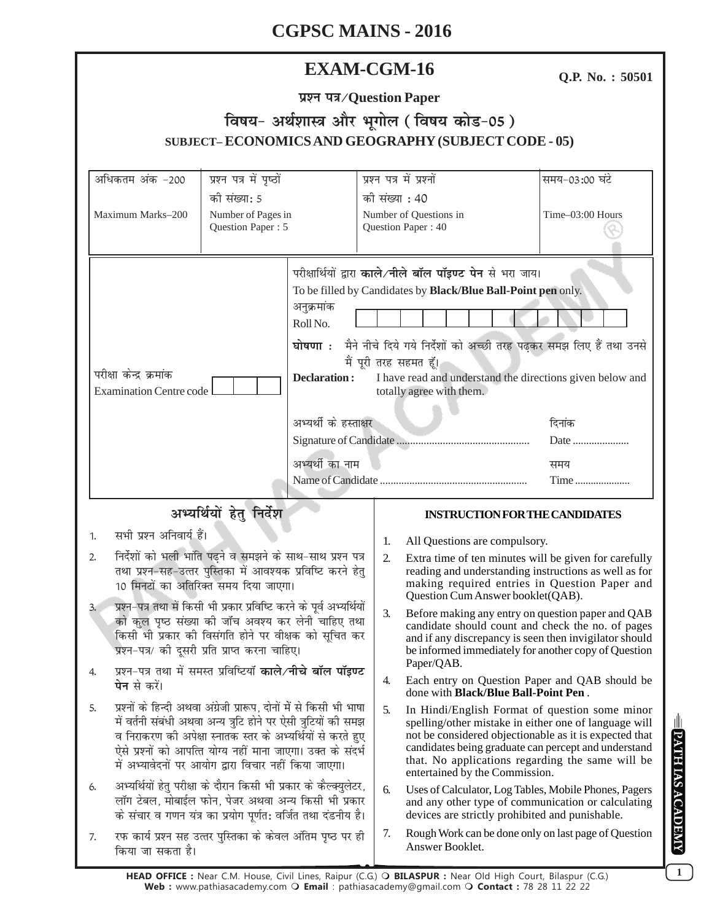# **EXAM-CGM-16**

Q.P. No.: 50501

|  | प्रश्न पत्र/Question Paper |  |
|--|----------------------------|--|
|--|----------------------------|--|

# विषय- अर्थशास्त्र और भूगोल (विषय कोड-05) SUBJECT-ECONOMICS AND GEOGRAPHY (SUBJECT CODE - 05)

| अधिकतम अंक -200                                                                                                                                                                                                                                                                                                                                                                                                             | प्रश्न पत्र में पृष्ठों                                                         |                                                                                                                                                                                                                                                                                                                                                                                 |                                                                                                                                                                                                                                                                                                                 | प्रश्न पत्र में प्रश्नों                                                                                                                                       | समय-03:00 घंटे   |
|-----------------------------------------------------------------------------------------------------------------------------------------------------------------------------------------------------------------------------------------------------------------------------------------------------------------------------------------------------------------------------------------------------------------------------|---------------------------------------------------------------------------------|---------------------------------------------------------------------------------------------------------------------------------------------------------------------------------------------------------------------------------------------------------------------------------------------------------------------------------------------------------------------------------|-----------------------------------------------------------------------------------------------------------------------------------------------------------------------------------------------------------------------------------------------------------------------------------------------------------------|----------------------------------------------------------------------------------------------------------------------------------------------------------------|------------------|
| Maximum Marks-200                                                                                                                                                                                                                                                                                                                                                                                                           | की संख्या: 5<br>Number of Pages in<br>Question Paper: 5                         |                                                                                                                                                                                                                                                                                                                                                                                 | की संख्या : 40<br>Number of Questions in<br>Question Paper: 40                                                                                                                                                                                                                                                  |                                                                                                                                                                | Time-03:00 Hours |
| परीक्षा केन्द्र क्रमांक<br><b>Examination Centre code</b>                                                                                                                                                                                                                                                                                                                                                                   |                                                                                 | परीक्षार्थियों द्वारा काले/नीले बॉल पॉइण्ट पेन से भरा जाय।<br>To be filled by Candidates by Black/Blue Ball-Point pen only.<br>अनुक्रमांक<br>Roll No.<br>घोषणा : मैने नीचे दिये गये निर्देशों को अच्छी तरह पढ़कर समझ लिए हैं तथा उनसे<br>मैं पूरी तरह सहमत हूँ।<br><b>Declaration:</b><br>I have read and understand the directions given below and<br>totally agree with them. |                                                                                                                                                                                                                                                                                                                 |                                                                                                                                                                |                  |
|                                                                                                                                                                                                                                                                                                                                                                                                                             |                                                                                 | अभ्यर्थी के हस्ताक्षर                                                                                                                                                                                                                                                                                                                                                           |                                                                                                                                                                                                                                                                                                                 | दिनांक<br>Date                                                                                                                                                 |                  |
|                                                                                                                                                                                                                                                                                                                                                                                                                             |                                                                                 | अभ्यर्थी का नाम                                                                                                                                                                                                                                                                                                                                                                 |                                                                                                                                                                                                                                                                                                                 |                                                                                                                                                                | समय<br>Time      |
| अभ्यर्थियों हेतु निर्देश                                                                                                                                                                                                                                                                                                                                                                                                    |                                                                                 |                                                                                                                                                                                                                                                                                                                                                                                 |                                                                                                                                                                                                                                                                                                                 | <b>INSTRUCTION FOR THE CANDIDATES</b>                                                                                                                          |                  |
| सभी प्रश्न अनिवार्य हैं।<br>1.                                                                                                                                                                                                                                                                                                                                                                                              |                                                                                 |                                                                                                                                                                                                                                                                                                                                                                                 | 1.                                                                                                                                                                                                                                                                                                              | All Questions are compulsory.                                                                                                                                  |                  |
| निर्देशों को भली भांति पढ़ने व समझने के साथ-साथ प्रश्न पत्र<br>2.<br>तथा प्रश्न-सह-उत्तर पुस्तिका में आवश्यक प्रविष्टि करने हेतु<br>10 मिनटों का अतिरिक्त समय दिया जाएगा।<br>प्रश्न-पत्र तथा में किसी भी प्रकार प्रविष्टि करने के पूर्व अभ्यर्थियों<br>3.<br>को कुल पृष्ठ संख्या की जाँच अवश्य कर लेनी चाहिए तथा<br>किसी भी प्रकार की विसंगति होने पर वीक्षक को सूचित कर<br>प्रश्न-पत्र/ की दूसरी प्रति प्राप्त करना चाहिए। |                                                                                 | $\overline{2}$ .                                                                                                                                                                                                                                                                                                                                                                | Extra time of ten minutes will be given for carefully<br>reading and understanding instructions as well as for<br>making required entries in Question Paper and<br>Question Cum Answer booklet(QAB).                                                                                                            |                                                                                                                                                                |                  |
|                                                                                                                                                                                                                                                                                                                                                                                                                             |                                                                                 | 3.                                                                                                                                                                                                                                                                                                                                                                              | Before making any entry on question paper and QAB<br>candidate should count and check the no. of pages<br>and if any discrepancy is seen then invigilator should<br>be informed immediately for another copy of Question<br>Paper/QAB.                                                                          |                                                                                                                                                                |                  |
| प्रश्न-पत्र तथा में समस्त प्रविष्टियाँ काले/नीचे बॉल पॉइण्ट<br><b>पेन</b> से करें।                                                                                                                                                                                                                                                                                                                                          |                                                                                 |                                                                                                                                                                                                                                                                                                                                                                                 | 4.                                                                                                                                                                                                                                                                                                              | Each entry on Question Paper and QAB should be<br>done with <b>Black/Blue Ball-Point Pen</b> .                                                                 |                  |
| प्रश्नों के हिन्दी अथवा अंग्रेजी प्रारूप, दोनों में से किसी भी भाषा<br>5.<br>में वर्तनी संबंधी अथवा अन्य त्रुटि होने पर ऐसी त्रुटियों की समझ<br>व निराकरण की अपेक्षा स्नातक स्तर के अभ्यर्थियों से करते हुए<br>ऐसे प्रश्नों को आपत्ति योग्य नहीं माना जाएगा। उक्त के संदर्भ<br>में अभ्यावेदनों पर आयोग द्वारा विचार नहीं किया जाएगा।                                                                                        |                                                                                 | 5.                                                                                                                                                                                                                                                                                                                                                                              | In Hindi/English Format of question some minor<br>spelling/other mistake in either one of language will<br>not be considered objectionable as it is expected that<br>candidates being graduate can percept and understand<br>that. No applications regarding the same will be<br>entertained by the Commission. |                                                                                                                                                                |                  |
| अभ्यर्थियों हेतु परीक्षा के दौरान किसी भी प्रकार के कैल्क्युलेटर,<br>6.<br>लॉग टेबल, मोबाईल फोन, पेजर अथवा अन्य किसी भी प्रकार<br>के संचार व गणन यंत्र का प्रयोग पूर्णत: वर्जित तथा दंडनीय है।                                                                                                                                                                                                                              |                                                                                 |                                                                                                                                                                                                                                                                                                                                                                                 | 6.                                                                                                                                                                                                                                                                                                              | Uses of Calculator, Log Tables, Mobile Phones, Pagers<br>and any other type of communication or calculating<br>devices are strictly prohibited and punishable. |                  |
| 7.                                                                                                                                                                                                                                                                                                                                                                                                                          | रफ कार्य प्रश्न सह उत्तर पुस्तिका के केवल अंतिम पृष्ठ पर ही<br>किया जा सकता है। |                                                                                                                                                                                                                                                                                                                                                                                 |                                                                                                                                                                                                                                                                                                                 | Rough Work can be done only on last page of Question<br>Answer Booklet.                                                                                        |                  |

**DATH IAS ACADEMY**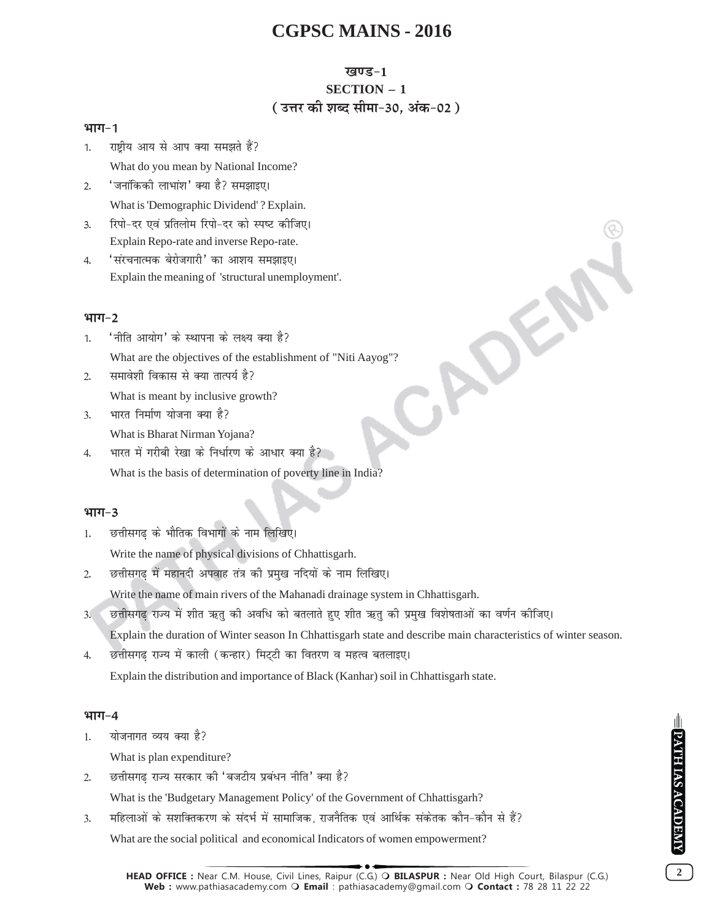## खण्ड-1

# **SECTION - 1** (उत्तर की शब्द सीमा-30. अंक-02)

JADE!

### भाग-1

राष्टीय आय से आप क्या समझते हैं? 1.

What do you mean by National Income?

- 'जनांकिकी लाभांश' क्या है? समझाइए।  $2.$ What is 'Demographic Dividend'? Explain.
- रिपो-दर एवं प्रतिलोम रिपो-दर को स्पष्ट कीजिए।  $\mathbf{R}$ Explain Repo-rate and inverse Repo-rate.
- 'संरचनात्मक बेरोजगारी' का आशय समझाइए।  $4.$ Explain the meaning of 'structural unemployment'.

## भाग $-2$

- 'नीति आयोग' के स्थापना के लक्ष्य क्या है?  $\mathbf{1}$ What are the objectives of the establishment of "Niti Aayog"?
- समावेशी विकास से क्या तात्पर्य है?  $2.$

What is meant by inclusive growth?

- भारत निर्माण योजना क्या है?  $\overline{3}$ . What is Bharat Nirman Yojana?
- भारत में गरीबी रेखा के निर्धारण के आधार क्या है?  $\overline{4}$ What is the basis of determination of poverty line in India?

### भाग $-3$

छत्तीसगढ के भौतिक विभागों के नाम लिखिए।  $\mathbf{1}$ .

Write the name of physical divisions of Chhattisgarh.

छत्तीसगढ़ में महानदी अपवाह तंत्र की प्रमुख नदियों के नाम लिखिए।  $2.$ 

Write the name of main rivers of the Mahanadi drainage system in Chhattisgarh.

छत्तीसगढ़ राज्य में शीत ऋतु की अवधि को बतलाते हुए शीत ऋतु की प्रमुख विशेषताओं का वर्णन कीजिए।  $\overline{3}$ .

Explain the duration of Winter season In Chhattisgarh state and describe main characteristics of winter season.

छत्तीसगढ राज्य में काली (कन्हार) मिट्टी का वितरण व महत्व बतलाइए।  $\overline{4}$ . Explain the distribution and importance of Black (Kanhar) soil in Chhattisgarh state.

#### भाग $-4$

योजनागत व्यय क्या है?  $\mathbf{1}$ 

What is plan expenditure?

छत्तीसगढ राज्य सरकार की 'बजटीय प्रबंधन नीति' क्या है?  $\mathfrak{D}$ 

What is the 'Budgetary Management Policy' of the Government of Chhattisgarh?

महिलाओं के सशक्तिकरण के संदर्भ में सामाजिक, राजनैतिक एवं आर्थिक संकेतक कौन-कौन से हैं?  $3.$ What are the social political and economical Indicators of women empowerment?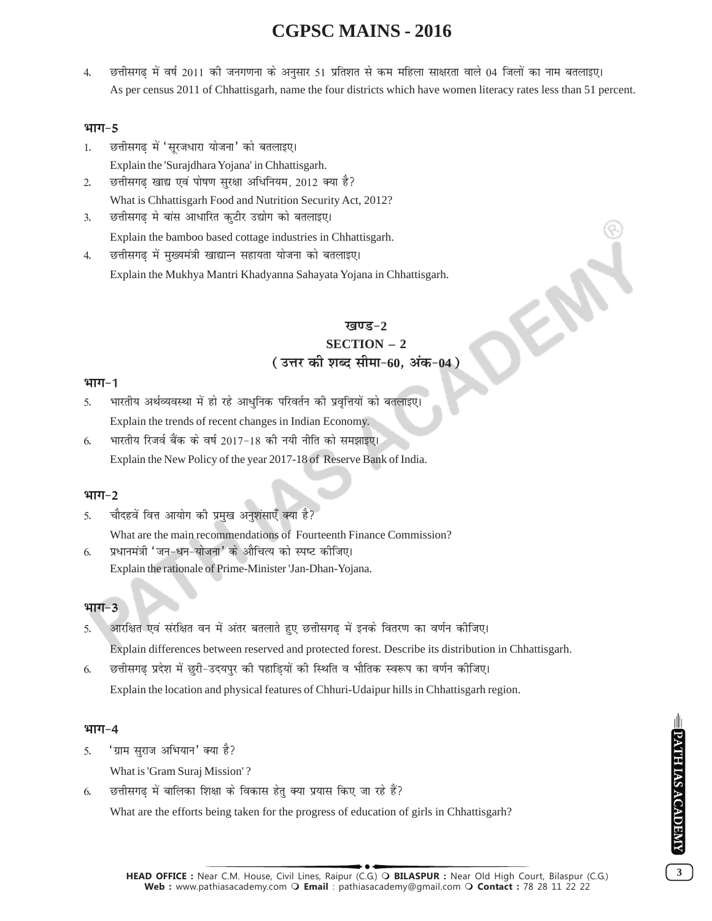छत्तीसगढ़ में वर्ष 2011 की जनगणना के अनुसार 51 प्रतिशत से कम महिला साक्षरता वाले 04 जिलों का नाम बतलाइए।  $4.$ As per census 2011 of Chhattisgarh, name the four districts which have women literacy rates less than 51 percent.

### भाग-5

- छत्तीसगढ में 'सूरजधारा योजना' को बतलाइए।  $\mathbf{1}$ . Explain the 'Surajdhara Yojana' in Chhattisgarh.
- छत्तीसगढ खाद्य एवं पोषण सुरक्षा अधिनियम, 2012 क्या है?  $\mathfrak{D}$ What is Chhattisgarh Food and Nutrition Security Act, 2012?
- छत्तीसगढ़ मे बांस आधारित कुटीर उद्योग को बतलाइए।  $3.$ Explain the bamboo based cottage industries in Chhattisgarh.
- छत्तीसगढ में मुख्यमंत्री खाद्यान्न सहायता योजना को बतलाइए।  $\overline{4}$ Explain the Mukhya Mantri Khadyanna Sahayata Yojana in Chhattisgarh.

## ਸ਼ਗਾਵ-

F

# $SECTION - 2$ (उत्तर की शब्द सीमा-60, अंक-04)

#### $4TT - 1$

- भारतीय अर्थव्यवस्था में हो रहे आधुनिक परिवर्तन की प्रवृत्तियों को बतलाइए। 5. Explain the trends of recent changes in Indian Economy.
- भारतीय रिजर्व बैंक के वर्ष 2017-18 की नयी नीति को समझाइए। 6. Explain the New Policy of the year 2017-18 of Reserve Bank of India.

## भाग $-2$

- चौदहवें वित्त आयोग की प्रमुख अनुशंसाएँ क्या है? 5.
- What are the main recommendations of Fourteenth Finance Commission? प्रधानमंत्री 'जन-धन-योजना' के औचित्य को स्पष्ट कीजिए। 6.
	- Explain the rationale of Prime-Minister 'Jan-Dhan-Yojana.

## भाग $-3$

- आरक्षित एवं संरक्षित वन में अंतर बतलाते हुए छत्तीसगढ़ में इनके वितरण का वर्णन कीजिए। 5. Explain differences between reserved and protected forest. Describe its distribution in Chhattisgarh.
- छत्तीसगढ प्रदेश में छुरी-उदयपुर की पहाडियों की स्थिति व भौतिक स्वरूप का वर्णन कीजिए। 6. Explain the location and physical features of Chhuri-Udaipur hills in Chhattisgarh region.

#### भाग $-4$

'ग्राम सराज अभियान' क्या है? 5.

What is 'Gram Suraj Mission'?

छत्तीसगढ में बालिका शिक्षा के विकास हेतु क्या प्रयास किए जा रहे हैं? 6.

What are the efforts being taken for the progress of education of girls in Chhattisgarh?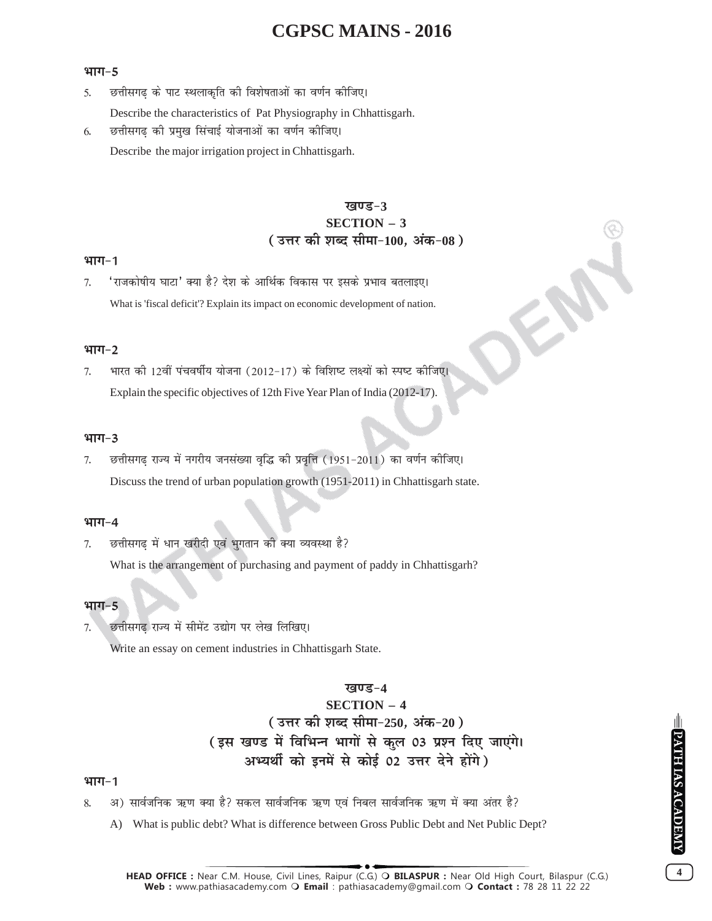#### भाग $-5$

- छत्तीसगढ के पाट स्थलाकृति की विशेषताओं का वर्णन कीजिए।  $\mathcal{F}_{\mathcal{L}}$
- Describe the characteristics of Pat Physiography in Chhattisgarh.
- छत्तीसगढ की प्रमुख सिंचाई योजनाओं का वर्णन कीजिए। 6. Describe the major irrigation project in Chhattisgarh.

## खण्ड-3 **SECTION - 3** (उत्तर की शब्द सीमा-100, अंक-08)

### $4TT-1$

'राजकोषीय घाटा' क्या है? देश के आर्थिक विकास पर इसके प्रभाव बतलाइए। 7. What is 'fiscal deficit'? Explain its impact on economic development of nation.

#### भाग $-2$

भारत की 12वीं पंचवर्षीय योजना (2012-17) के विशिष्ट लक्ष्यों को स्पष्ट कीजिए। 7. Explain the specific objectives of 12th Five Year Plan of India (2012-17).

#### भाग $-3$

छत्तीसगढ़ राज्य में नगरीय जनसंख्या वृद्धि की प्रवृत्ति (1951-2011) का वर्णन कीजिए। 7. Discuss the trend of urban population growth (1951-2011) in Chhattisgarh state.

#### भाग $-4$

छत्तीसगढ में धान खरीदी एवं भुगतान की क्या व्यवस्था है?  $\tau$ 

What is the arrangement of purchasing and payment of paddy in Chhattisgarh?

#### भाग $-5$

छत्तीसगढ राज्य में सीमेंट उद्योग पर लेख लिखिए। 7.

Write an essay on cement industries in Chhattisgarh State.

# खण्ड−4 **SECTION - 4** (उत्तर की शब्द सीमा-250, अंक-20) (इस खण्ड में विभिन्न भागों से कुल 03 प्रश्न दिए जाएंगे। अभ्यर्थी को इनमें से कोई 02 उत्तर देने होंगे)

#### भाग $-1$

- अ) सार्वजनिक ऋण क्या है? सकल सार्वजनिक ऋण एवं निबल सार्वजनिक ऋण में क्या अंतर है?  $\mathbf{Q}$ 
	- A) What is public debt? What is difference between Gross Public Debt and Net Public Dept?